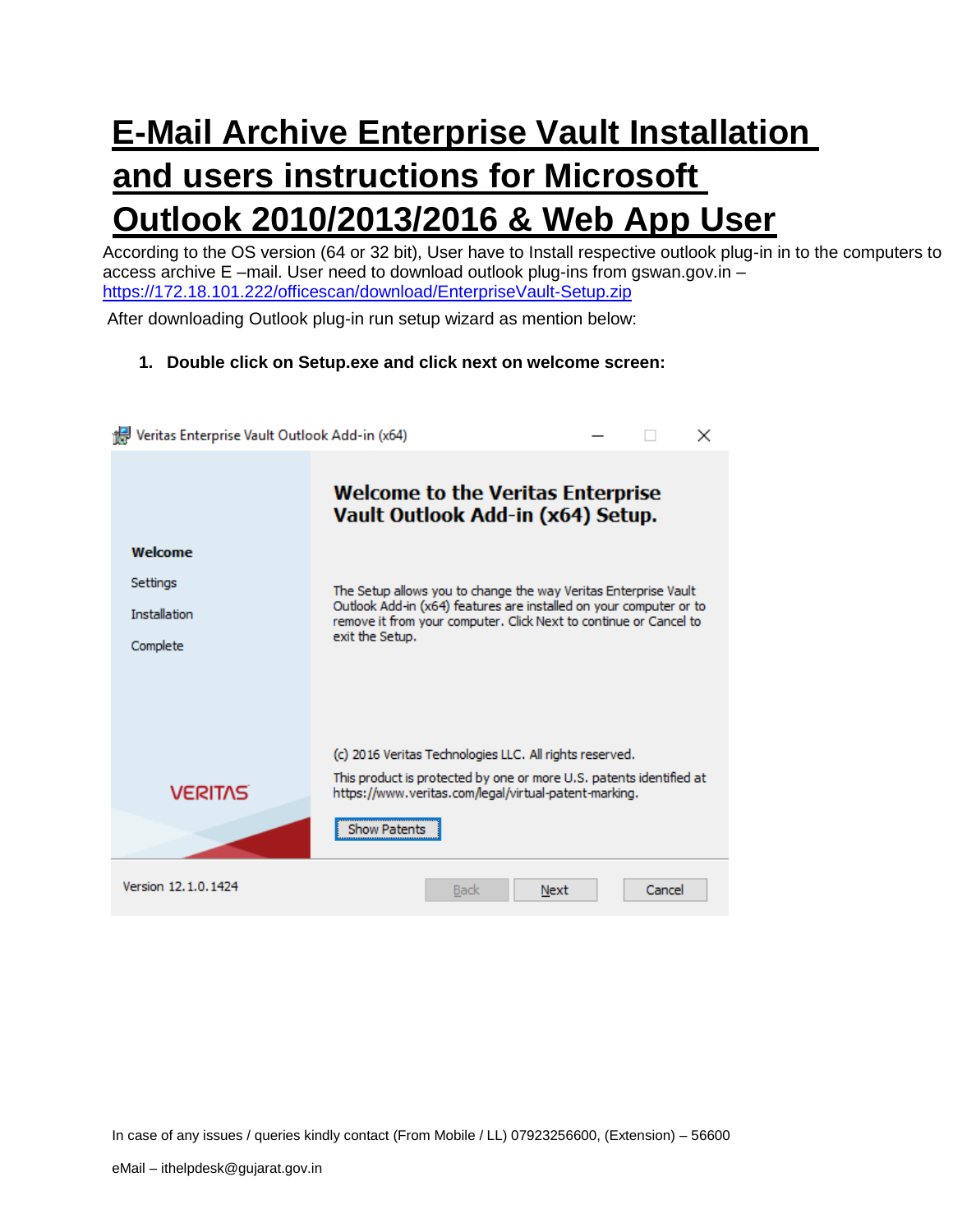# **E-Mail Archive Enterprise Vault Installation and users instructions for Microsoft Outlook 2010/2013/2016 & Web App User**

According to the OS version (64 or 32 bit), User have to Install respective outlook plug-in in to the computers to access archive E –mail. User need to download outlook plug-ins from gswan.gov.in – <https://172.18.101.222/officescan/download/EnterpriseVault-Setup.zip>

After downloading Outlook plug-in run setup wizard as mention below:

## **1. Double click on Setup.exe and click next on welcome screen:**

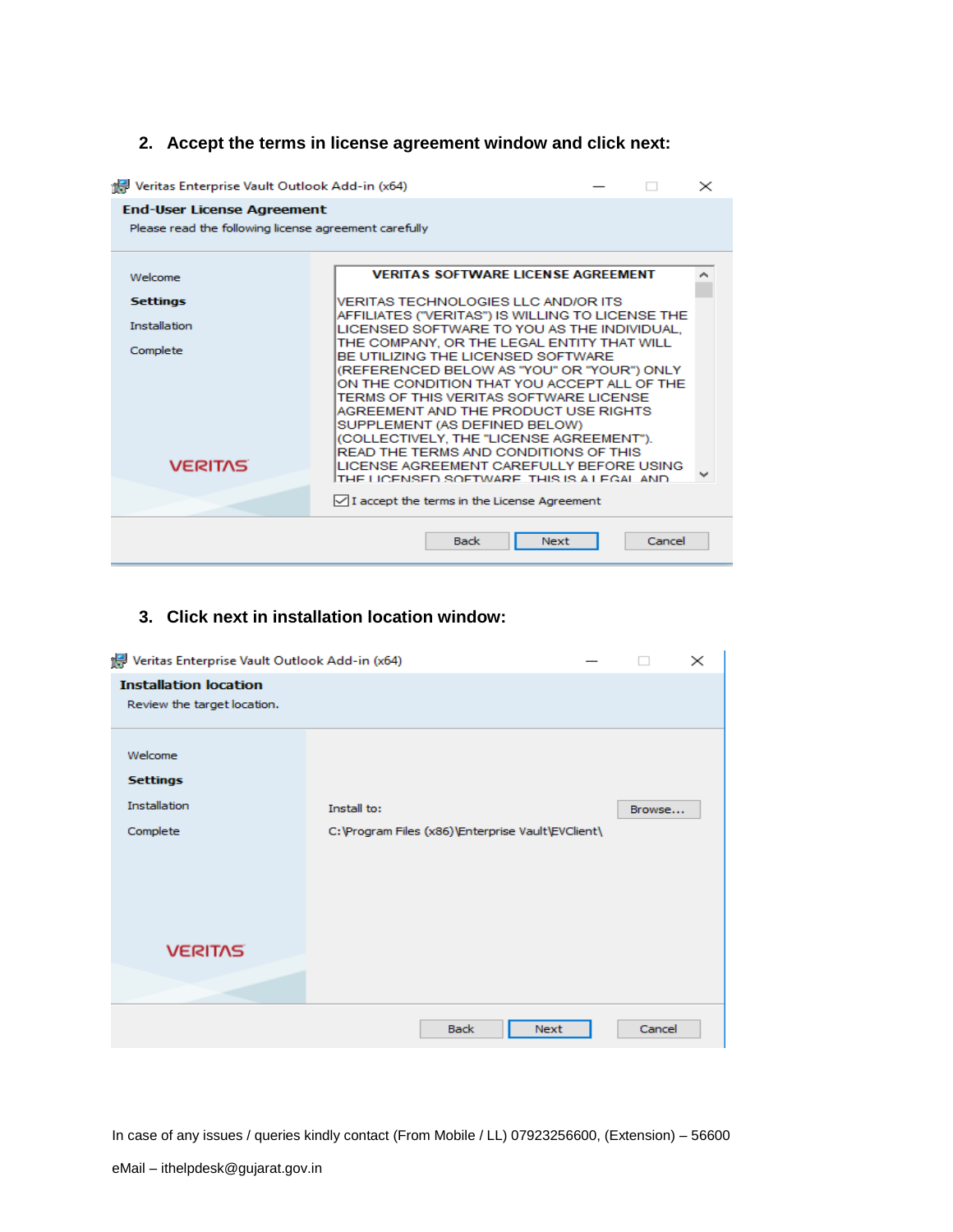# **2. Accept the terms in license agreement window and click next:**

| Veritas Enterprise Vault Outlook Add-in (x64)<br>$\times$                                  |                                                                                                                                                                                                                                                                                                                                                                                                                                                                                                                                                                                                                          |  |  |  |  |  |  |
|--------------------------------------------------------------------------------------------|--------------------------------------------------------------------------------------------------------------------------------------------------------------------------------------------------------------------------------------------------------------------------------------------------------------------------------------------------------------------------------------------------------------------------------------------------------------------------------------------------------------------------------------------------------------------------------------------------------------------------|--|--|--|--|--|--|
| <b>End-User License Agreement</b><br>Please read the following license agreement carefully |                                                                                                                                                                                                                                                                                                                                                                                                                                                                                                                                                                                                                          |  |  |  |  |  |  |
| Welcome<br><b>Settings</b><br><b>Installation</b><br>Complete<br><b>VERITAS</b>            | <b>VERITAS SOFTWARE LICENSE AGREEMENT</b><br>VERITAS TECHNOLOGIES LLC AND/OR ITS<br>AFFILIATES ("VERITAS") IS WILLING TO LICENSE THE<br>LICENSED SOFTWARE TO YOU AS THE INDIVIDUAL.<br>THE COMPANY, OR THE LEGAL ENTITY THAT WILL<br>BE UTILIZING THE LICENSED SOFTWARE<br>(REFERENCED BELOW AS "YOU" OR "YOUR") ONLY<br>ON THE CONDITION THAT YOU ACCEPT ALL OF THE<br>TERMS OF THIS VERITAS SOFTWARE LICENSE<br>AGREEMENT AND THE PRODUCT USE RIGHTS<br>SUPPLEMENT (AS DEFINED BELOW)<br>(COLLECTIVELY, THE "LICENSE AGREEMENT").<br>READ THE TERMS AND CONDITIONS OF THIS<br>LICENSE AGREEMENT CAREFULLY BEFORE USING |  |  |  |  |  |  |
|                                                                                            | THE LICENSED SOFTWARE. THIS IS A LEGAL AND<br>$\sqrt{}$ I accept the terms in the License Agreement                                                                                                                                                                                                                                                                                                                                                                                                                                                                                                                      |  |  |  |  |  |  |
| Cancel<br><b>Back</b><br><b>Next</b>                                                       |                                                                                                                                                                                                                                                                                                                                                                                                                                                                                                                                                                                                                          |  |  |  |  |  |  |

# **3. Click next in installation location window:**

| Veritas Enterprise Vault Outlook Add-in (x64)<br>$\times$   |                                                                   |  |        |  |  |  |  |
|-------------------------------------------------------------|-------------------------------------------------------------------|--|--------|--|--|--|--|
| <b>Installation location</b><br>Review the target location. |                                                                   |  |        |  |  |  |  |
| Welcome<br><b>Settings</b><br>Installation<br>Complete      | Install to:<br>C: \Program Files (x86)\Enterprise Vault\EVClient\ |  | Browse |  |  |  |  |
| <b>VERITAS</b>                                              |                                                                   |  |        |  |  |  |  |
|                                                             | <b>Back</b><br><b>Next</b>                                        |  | Cancel |  |  |  |  |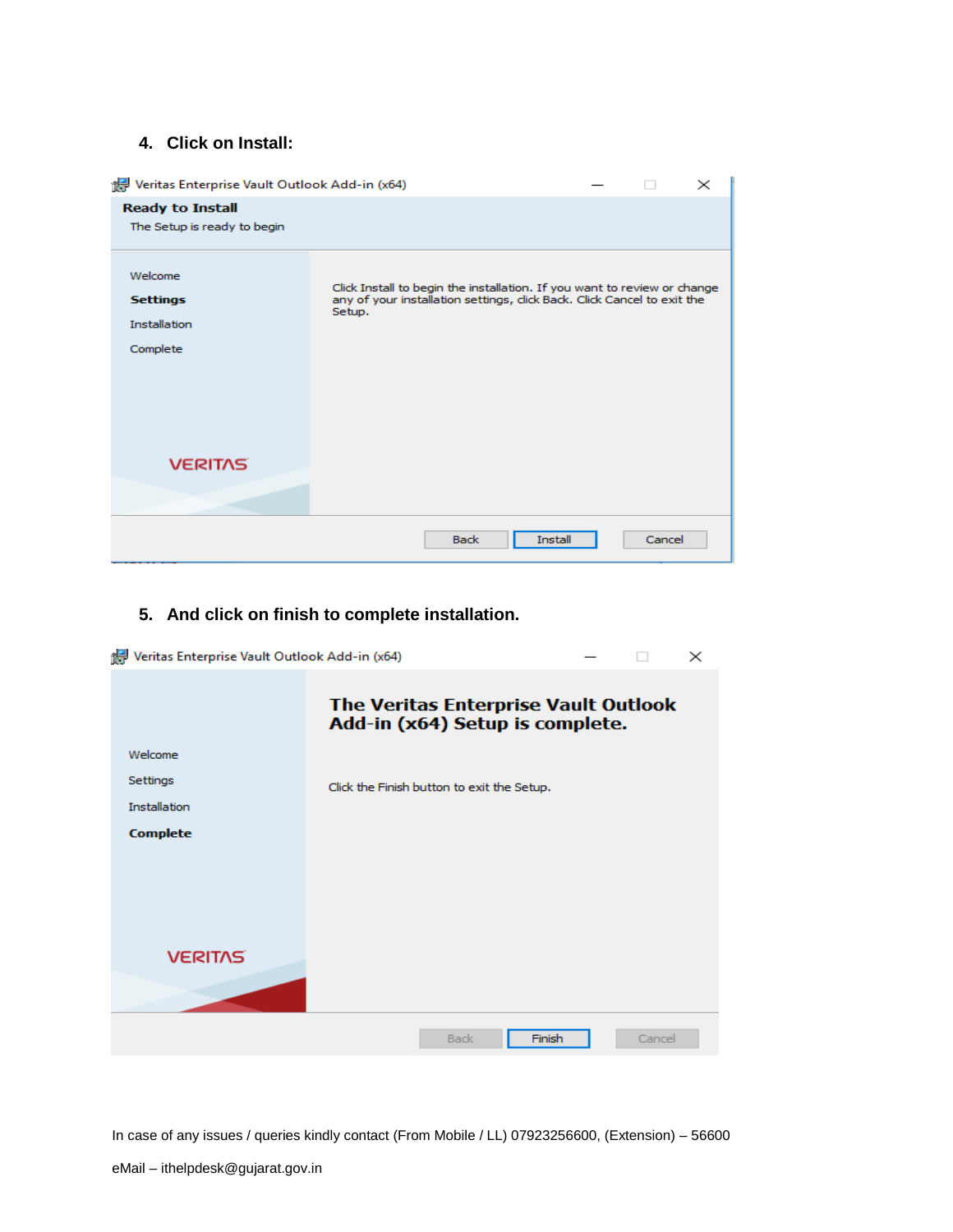#### **4. Click on Install:**

| Veritas Enterprise Vault Outlook Add-in (x64)<br>$\times$     |                                                                                                                                                               |  |        |  |  |  |  |
|---------------------------------------------------------------|---------------------------------------------------------------------------------------------------------------------------------------------------------------|--|--------|--|--|--|--|
| <b>Ready to Install</b><br>The Setup is ready to begin        |                                                                                                                                                               |  |        |  |  |  |  |
| Welcome<br><b>Settings</b><br><b>Installation</b><br>Complete | Click Install to begin the installation. If you want to review or change<br>any of your installation settings, click Back. Click Cancel to exit the<br>Setup. |  |        |  |  |  |  |
| <b>VERITAS</b>                                                |                                                                                                                                                               |  |        |  |  |  |  |
|                                                               | <b>Install</b><br><b>Back</b>                                                                                                                                 |  | Cancel |  |  |  |  |

# **5. And click on finish to complete installation.**

| Veritas Enterprise Vault Outlook Add-in (x64) |                                                                         |        | $\times$ |  |  |
|-----------------------------------------------|-------------------------------------------------------------------------|--------|----------|--|--|
|                                               | The Veritas Enterprise Vault Outlook<br>Add-in (x64) Setup is complete. |        |          |  |  |
| Welcome                                       |                                                                         |        |          |  |  |
| Settings                                      | Click the Finish button to exit the Setup.                              |        |          |  |  |
| <b>Installation</b>                           |                                                                         |        |          |  |  |
| <b>Complete</b>                               |                                                                         |        |          |  |  |
|                                               |                                                                         |        |          |  |  |
|                                               |                                                                         |        |          |  |  |
|                                               |                                                                         |        |          |  |  |
| <b>VERITAS</b>                                |                                                                         |        |          |  |  |
|                                               | <b>Back</b>                                                             | Finish | Cancel   |  |  |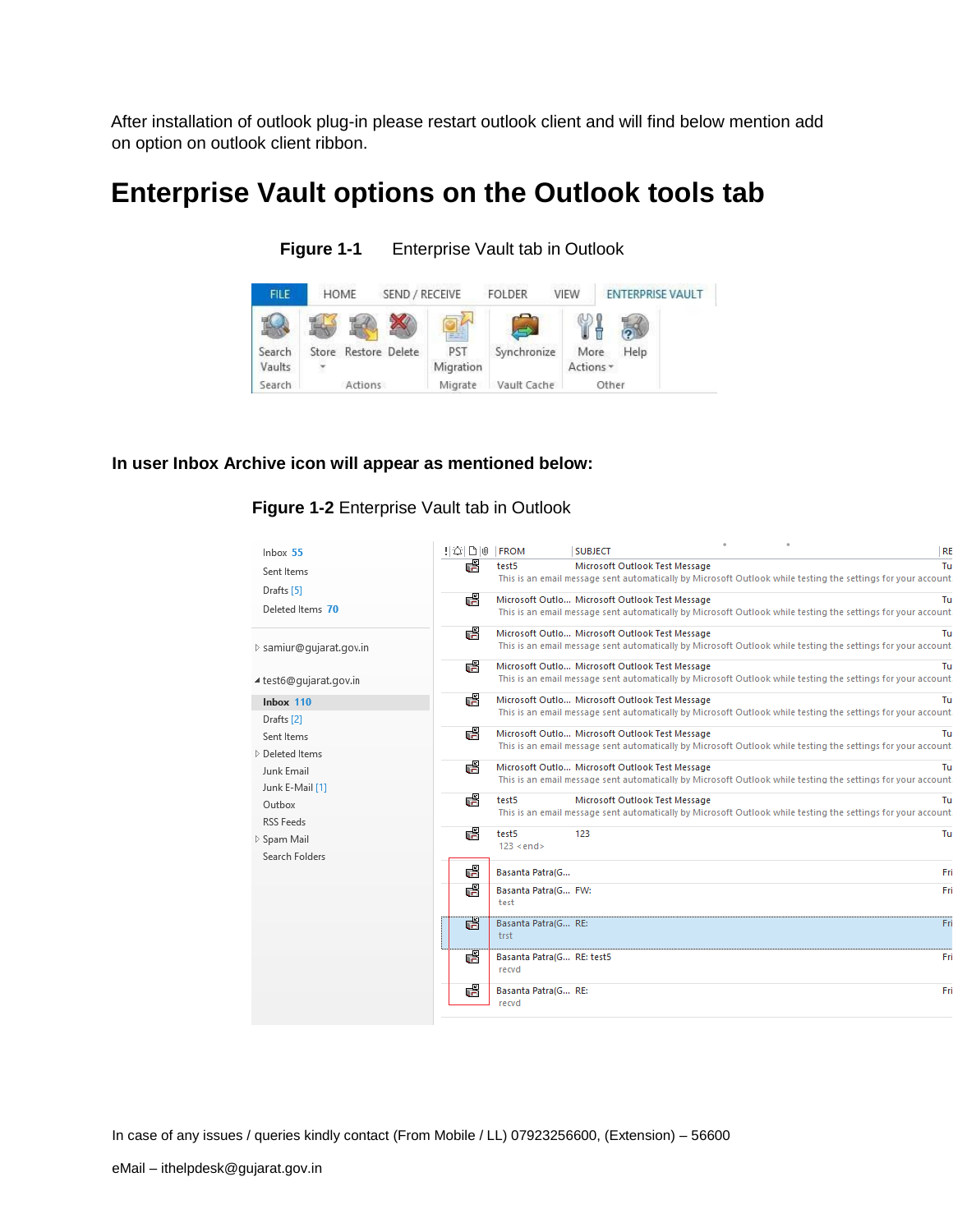After installation of outlook plug-in please restart outlook client and will find below mention add on option on outlook client ribbon.

# **Enterprise Vault options on the Outlook tools tab**

| <b>FILE</b>      | HOME                 | SEND / RECEIVE |                  | <b>FOLDER</b> | <b>VIEW</b>       | <b>ENTERPRISE VAULT</b> |
|------------------|----------------------|----------------|------------------|---------------|-------------------|-------------------------|
|                  |                      |                | 려                |               |                   |                         |
| Search<br>Vaults | Store Restore Delete |                | PST<br>Migration | Synchronize   | More<br>Actions * | Help                    |
| Search           | Actions              |                | Migrate          | Vault Cache   |                   | Other                   |

**Figure 1-1** Enterprise Vault tab in Outlook

#### **In user Inbox Archive icon will appear as mentioned below:**

### **Figure 1-2** Enterprise Vault tab in Outlook

| Inbox 55                | 범죄[日]® | <b>FROM</b>               | <b>SUBJECT</b>                                                                                                |  |  | <b>RE</b> |
|-------------------------|--------|---------------------------|---------------------------------------------------------------------------------------------------------------|--|--|-----------|
| Sent Items              | යි     | test5                     | Microsoft Outlook Test Message                                                                                |  |  | Tu        |
| Drafts [5]              |        |                           | This is an email message sent automatically by Microsoft Outlook while testing the settings for your account. |  |  |           |
|                         | æ      |                           | Microsoft Outlo Microsoft Outlook Test Message                                                                |  |  | Tu        |
| Deleted Items 70        |        |                           | This is an email message sent automatically by Microsoft Outlook while testing the settings for your account  |  |  |           |
|                         | d      |                           | Microsoft Outlo Microsoft Outlook Test Message                                                                |  |  | Tu        |
| ▷ samiur@gujarat.gov.in |        |                           | This is an email message sent automatically by Microsoft Outlook while testing the settings for your account  |  |  |           |
|                         | r.     |                           | Microsoft Outlo Microsoft Outlook Test Message                                                                |  |  | Tu        |
| ⊿ test6@qujarat.gov.in  |        |                           | This is an email message sent automatically by Microsoft Outlook while testing the settings for your account. |  |  |           |
| Inbox 110               | d.     |                           | Microsoft Outlo Microsoft Outlook Test Message                                                                |  |  | Tu        |
| Drafts <sup>[2]</sup>   |        |                           | This is an email message sent automatically by Microsoft Outlook while testing the settings for your account  |  |  |           |
| Sent Items              | dS     |                           | Microsoft Outlo Microsoft Outlook Test Message                                                                |  |  | Tu        |
| Deleted Items           |        |                           | This is an email message sent automatically by Microsoft Outlook while testing the settings for your account. |  |  |           |
| Junk Email              | 嶹      |                           | Microsoft Outlo Microsoft Outlook Test Message                                                                |  |  | Tu        |
|                         |        |                           | This is an email message sent automatically by Microsoft Outlook while testing the settings for your account  |  |  |           |
| Junk E-Mail [1]         | ď      | test5                     | Microsoft Outlook Test Message                                                                                |  |  | Tu        |
| Outbox                  |        |                           | This is an email message sent automatically by Microsoft Outlook while testing the settings for your account  |  |  |           |
| <b>RSS Feeds</b>        | æ      | test5                     | 123                                                                                                           |  |  | Tu        |
| ▷ Spam Mail             |        | $123 \leq end$            |                                                                                                               |  |  |           |
| Search Folders          |        |                           |                                                                                                               |  |  |           |
|                         | ď      | Basanta Patra(G           |                                                                                                               |  |  | Fri       |
|                         | ď      | Basanta Patra(G FW:       |                                                                                                               |  |  | Fri       |
|                         |        | test                      |                                                                                                               |  |  |           |
|                         | स      | Basanta Patra(G RE:       |                                                                                                               |  |  | Fri       |
|                         |        | trst                      |                                                                                                               |  |  |           |
|                         | र्स    | Basanta Patra(G RE: test5 |                                                                                                               |  |  | Fri       |
|                         |        | recvd                     |                                                                                                               |  |  |           |
|                         | Ġ      | Basanta Patra(G RE:       |                                                                                                               |  |  | Fri       |
|                         |        | recvd                     |                                                                                                               |  |  |           |
|                         |        |                           |                                                                                                               |  |  |           |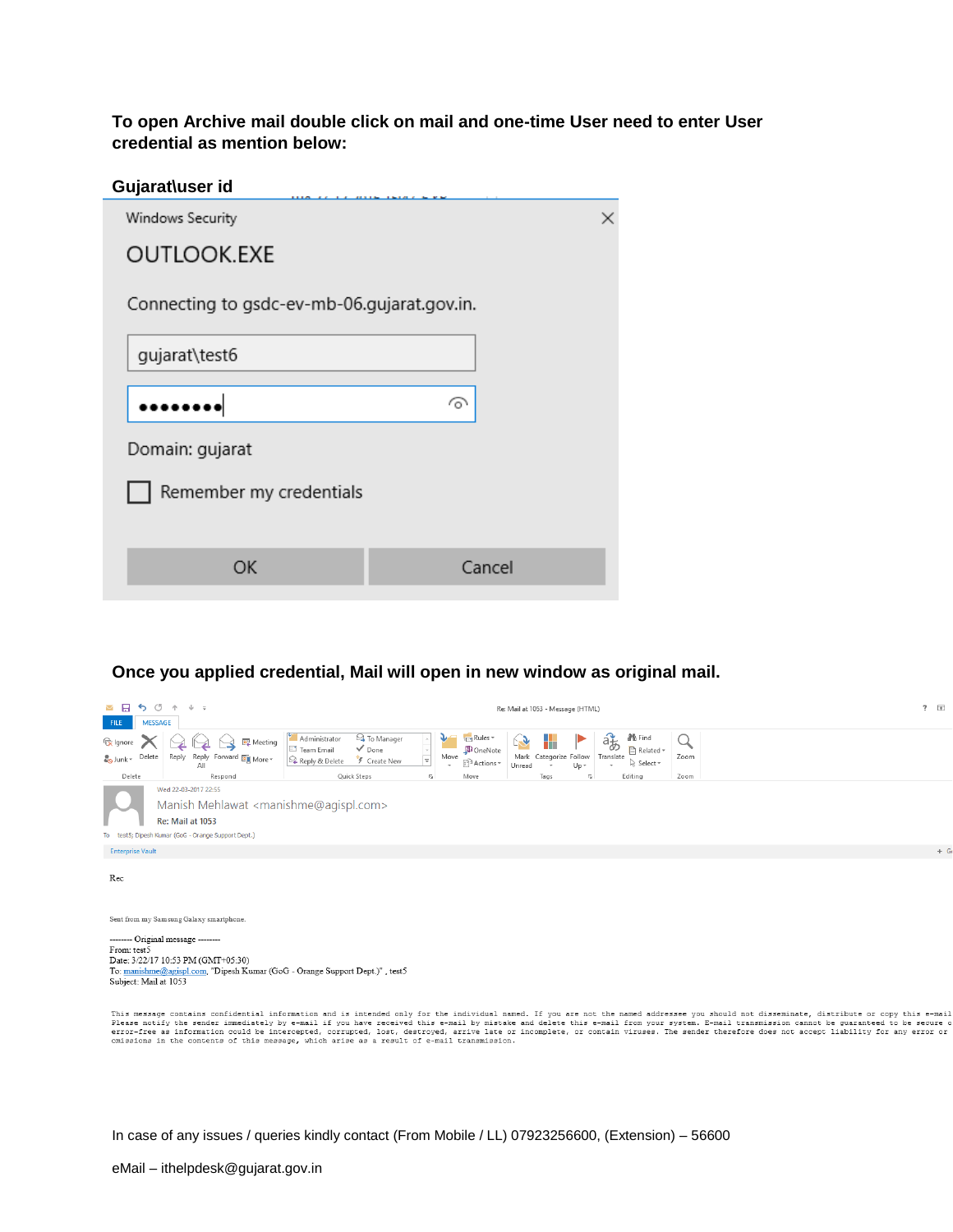**To open Archive mail double click on mail and one-time User need to enter User credential as mention below:**

| Gujarat\user id                             |          |
|---------------------------------------------|----------|
| Windows Security                            | $\times$ |
| <b>OUTLOOK.EXE</b>                          |          |
| Connecting to gsdc-ev-mb-06.gujarat.gov.in. |          |
| gujarat\test6                               |          |
|                                             | ᢙ        |
|                                             |          |
| Domain: gujarat                             |          |
| Remember my credentials                     |          |
|                                             |          |
| OK                                          | Cancel   |
|                                             |          |

#### **Once you applied credential, Mail will open in new window as original mail.**

| ᅜ ⊵<br>$\circ$<br>$\leftarrow$<br><b>MESSAGE</b><br><b>FILE</b> | $\downarrow$ =                                                                                                                                                   |                                                                                                                                |                                                                                                                                       | Re: Mail at 1053 - Message (HTML)                                                                                                                                  | $? \quad \Box$ |       |
|-----------------------------------------------------------------|------------------------------------------------------------------------------------------------------------------------------------------------------------------|--------------------------------------------------------------------------------------------------------------------------------|---------------------------------------------------------------------------------------------------------------------------------------|--------------------------------------------------------------------------------------------------------------------------------------------------------------------|----------------|-------|
| lgnore<br>Delete<br>∴ <mark>o</mark> Junk≁<br>Delete            | Meeting<br>Reply Reply Forward <b>BO</b> More ~<br>All<br>Respond                                                                                                | Administrator<br><sup>2</sup> To Manager<br>$\checkmark$ Done<br>□ Team Email<br>Reply & Delete<br>F Create New<br>Quick Steps | ₹ <sub>En</sub> Rules <sub>*</sub><br>OneNote<br>Move<br>⋤<br><sup>8</sup> Actions *<br>$\sim$<br>Move<br>$\overline{\mathbb{F}_M}$ . | 储<br><b>No</b> Find<br>H<br>Related -<br>Translate<br>Mark Categorize Follow<br>ि Select र<br>$Up -$<br>Unread<br>Tags<br>Editing<br>$\overline{\Gamma_{\rm M}}$ . | Zoom<br>Zoom   |       |
|                                                                 | Wed 22-03-2017 22:55<br>Manish Mehlawat <manishme@agispl.com><br/>Re: Mail at 1053<br/>To test5; Dipesh Kumar (GoG - Orange Support Dept.)</manishme@agispl.com> |                                                                                                                                |                                                                                                                                       |                                                                                                                                                                    |                |       |
| <b>Enterprise Vault</b>                                         |                                                                                                                                                                  |                                                                                                                                |                                                                                                                                       |                                                                                                                                                                    |                | $+$ G |
| Rec                                                             |                                                                                                                                                                  |                                                                                                                                |                                                                                                                                       |                                                                                                                                                                    |                |       |
|                                                                 | Sent from my Samsung Galaxy smartphone.                                                                                                                          |                                                                                                                                |                                                                                                                                       |                                                                                                                                                                    |                |       |
| From: test5<br>Subject: Mail at 1053                            | -------- Original message --------<br>Date: 3/22/17 10:53 PM (GMT+05:30)                                                                                         | To: manishme@agispl.com, "Dipesh Kumar (GoG - Orange Support Dept.)", test5                                                    |                                                                                                                                       |                                                                                                                                                                    |                |       |

This message contains confidential information and is intended only for the individual named. If you are not the named addressee you should not disseminate, distribute or copy this e-mail if you have received this e-mail b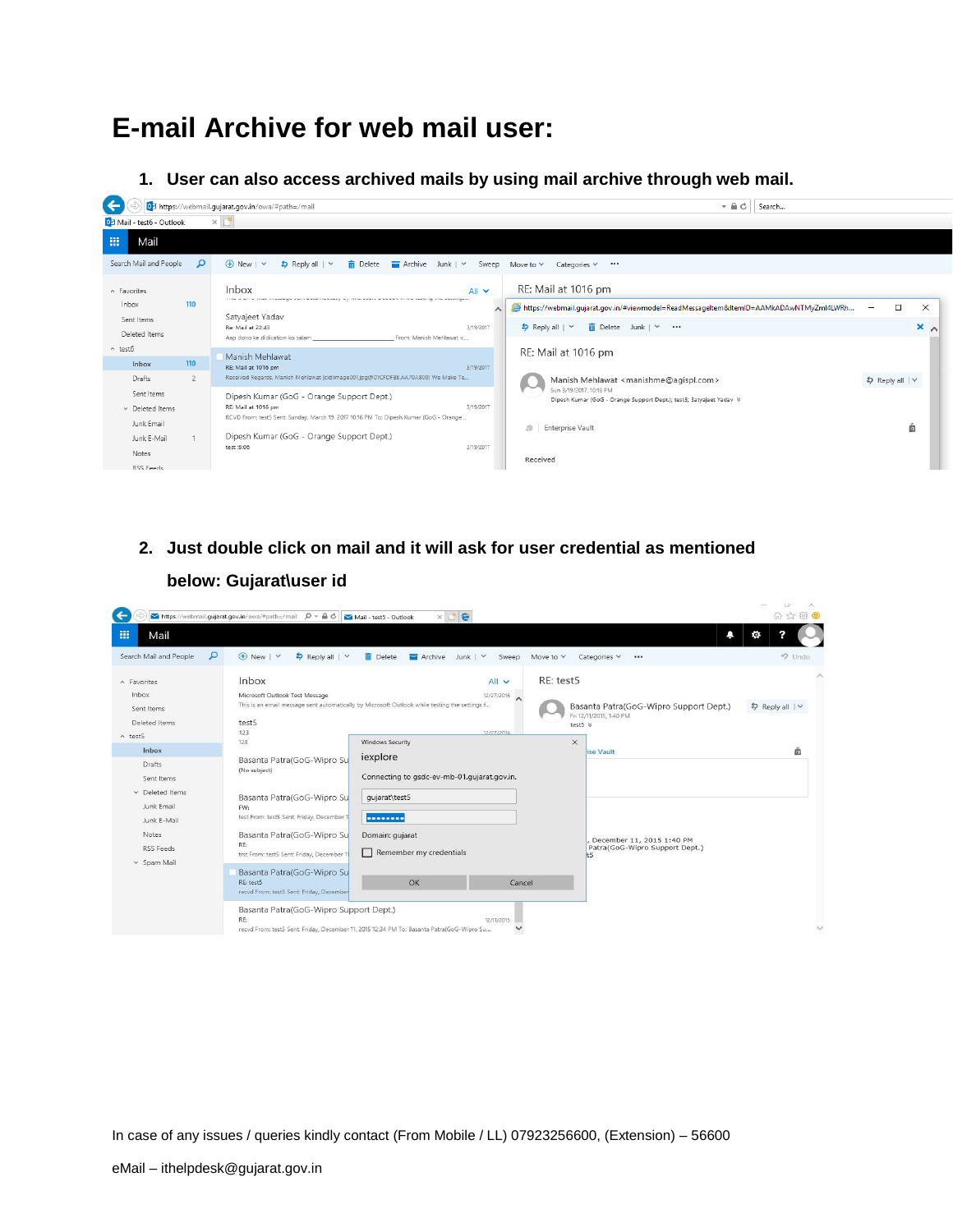# **E-mail Archive for web mail user:**

**1. User can also access archived mails by using mail archive through web mail.**



**2. Just double click on mail and it will ask for user credential as mentioned** 

|                                                     | https://webmail.gujarat.gov.in/owa/#path=/mail $\rho$ = $\triangle$ d $\sim$ Mail - test5 - Outlook | $\times$ $P$ e                                                                                                                   |                             |                                                                          | LP.<br>$\wedge$<br>价 ☆ @ ● |
|-----------------------------------------------------|-----------------------------------------------------------------------------------------------------|----------------------------------------------------------------------------------------------------------------------------------|-----------------------------|--------------------------------------------------------------------------|----------------------------|
| 冊<br>Mail                                           |                                                                                                     |                                                                                                                                  |                             | Δ                                                                        | ю.                         |
| ٩<br>Search Mail and People                         | $\bigoplus$ New   $\vee$<br>\$ Reply all   ∨                                                        | <b>ID</b> Delete<br>$\blacksquare$ Archive Junk $\vee$<br>Sweep                                                                  | Move to $\vee$              | Categories V<br>$\cdots$                                                 | <b>9</b> Undo              |
| A Favorites<br>Inbox<br>Sent Items<br>Deleted Items | Inbox<br>Microsoft Outlook Test Message<br>test5                                                    | All v<br>12/27/2016<br>$\wedge$<br>This is an email message sent automatically by Microsoft Outlook while testing the settings f | RE: test5<br>test5 $\times$ | Basanta Patra(GoG-Wipro Support Dept.)<br>Fri 12/11/2015, 1:40 PM        | \$ Reply all   ∨           |
| $\land$ test5<br>Inbox                              | 123<br>123                                                                                          | 12/27/2016<br><b>Windows Security</b>                                                                                            | $\times$                    | lise Vault                                                               | ö                          |
| Drafts<br>Sent Items                                | Basanta Patra(GoG-Wipro Su<br>(No subject)                                                          | iexplore<br>Connecting to gsdc-ev-mb-01.qujarat.gov.in.                                                                          |                             |                                                                          |                            |
| $\vee$ Deleted Items<br>Junk Email<br>Junk E-Mail   | Basanta Patra(GoG-Wipro Su<br>FW:<br>test From: test5 Sent: Friday, December 1                      | gujarat\test5<br>                                                                                                                |                             |                                                                          |                            |
| Notes<br>RSS Feeds<br>v Spam Mail                   | Basanta Patra(GoG-Wipro Su<br>RE:<br>trst From: test5 Sent: Friday, December 11                     | Domain: qujarat<br>Remember my credentials                                                                                       |                             | December 11, 2015 1:40 PM<br>Patra(GoG-Wipro Support Dept.)<br><b>t5</b> |                            |
|                                                     | Basanta Patra(GoG-Wipro Su<br>RE: test5<br>recvd From: test5 Sent: Friday, December                 | OK<br>Cancel                                                                                                                     |                             |                                                                          |                            |
|                                                     | Basanta Patra(GoG-Wipro Support Dept.)<br>RE:                                                       | 12/11/2015<br>recvd From: test5 Sent: Friday, December 11, 2015 12:34 PM To: Basanta Patra(GoG-Wipro Su                          |                             |                                                                          | $\checkmark$               |

**below: Gujarat\user id**